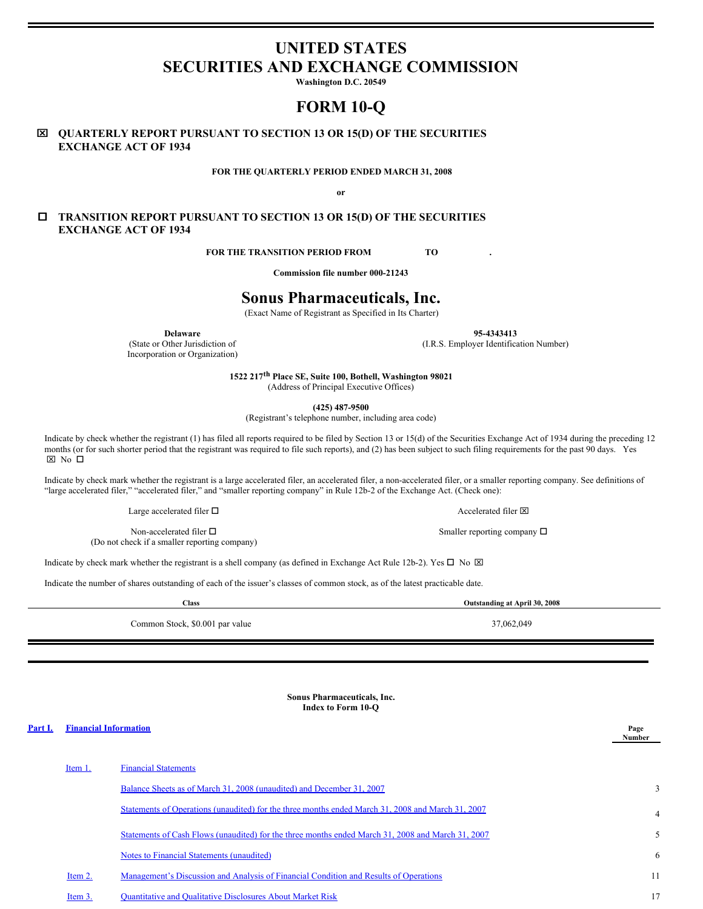# **UNITED STATES SECURITIES AND EXCHANGE COMMISSION**

**Washington D.C. 20549**

# **FORM 10-Q**

# x **QUARTERLY REPORT PURSUANT TO SECTION 13 OR 15(D) OF THE SECURITIES EXCHANGE ACT OF 1934**

**FOR THE QUARTERLY PERIOD ENDED MARCH 31, 2008**

**or**

o **TRANSITION REPORT PURSUANT TO SECTION 13 OR 15(D) OF THE SECURITIES EXCHANGE ACT OF 1934**

**FOR THE TRANSITION PERIOD FROM TO .**

**Commission file number 000-21243**

# **Sonus Pharmaceuticals, Inc.**

(Exact Name of Registrant as Specified in Its Charter)

Incorporation or Organization)

**Delaware 95-4343413**

(State or Other Jurisdiction of (I.R.S. Employer Identification Number)

**1522 217 th Place SE, Suite 100, Bothell, Washington 98021** (Address of Principal Executive Offices)

**(425) 487-9500**

(Registrant's telephone number, including area code)

Indicate by check whether the registrant (1) has filed all reports required to be filed by Section 13 or 15(d) of the Securities Exchange Act of 1934 during the preceding 12 months (or for such shorter period that the registrant was required to file such reports), and (2) has been subject to such filing requirements for the past 90 days. Yes  $\boxtimes$  No  $\square$ 

Indicate by check mark whether the registrant is a large accelerated filer, an accelerated filer, a non-accelerated filer, or a smaller reporting company. See definitions of "large accelerated filer," "accelerated filer," and "smaller reporting company" in Rule 12b-2 of the Exchange Act. (Check one):

Large accelerated filer  $\square$ 

Non-accelerated filer  $\square$  Smaller reporting company  $\square$ (Do not check if a smaller reporting company)

Indicate by check mark whether the registrant is a shell company (as defined in Exchange Act Rule 12b-2). Yes  $\Box$  No  $\boxtimes$ 

Indicate the number of shares outstanding of each of the issuer's classes of common stock, as of the latest practicable date.

Common Stock, \$0.001 par value 37,062,049

**Sonus Pharmaceuticals, Inc. Index to Form 10-Q**

#### **[Part](#page-1-0) I. Financial [Information](#page-1-0) Page**

[Item](#page-1-1) 1. Financial [Statements](#page-1-1) Balance Sheets as of March 31, 2008 [\(unaudited\)](#page-1-2) and December 31, 2007 3 Statements of Operations [\(unaudited\)](#page-1-3) for the three months ended March 31, 2008 and March 31, 2007 4 Statements of Cash Flows [\(unaudited\)](#page-2-0) for the three months ended March 31, 2008 and March 31, 2007 5 Notes to Financial Statements [\(unaudited\)](#page-2-1) 6 [Item](#page-5-0) 2. [Management's](#page-5-0) Discussion and Analysis of Financial Condition and Results of Operations 11 [Item](#page-8-0) 3. [Quantitative](#page-8-0) and Qualitative Disclosures About Market Risk 17

**Number**

**Class Outstanding at April 30, 2008**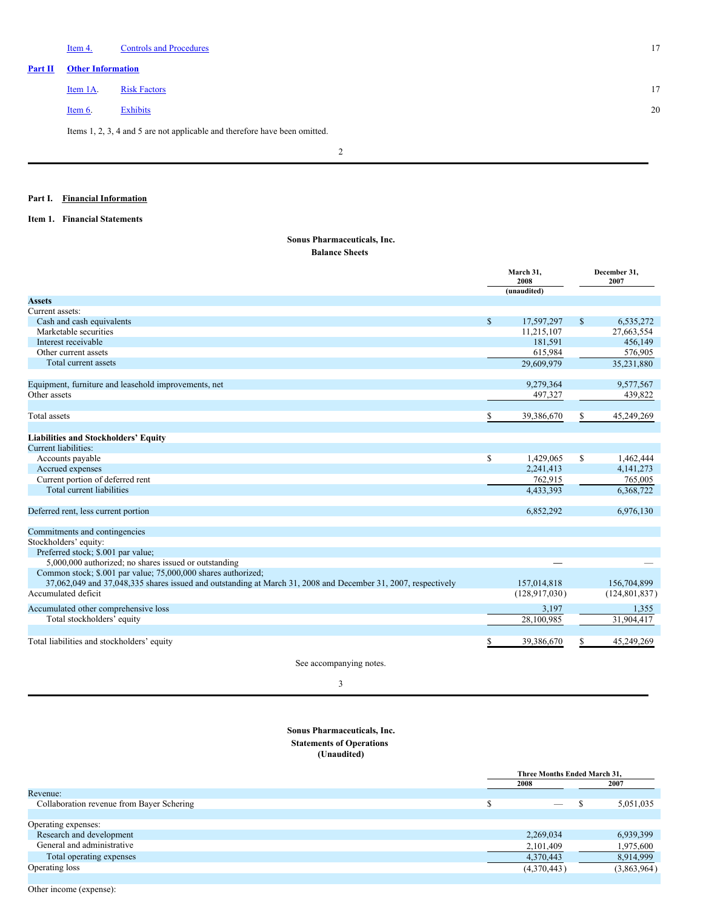| Item 4.                          | <b>Controls and Procedures</b> | 17 |
|----------------------------------|--------------------------------|----|
| <b>Part II</b> Other Information |                                |    |
| Item $1A$ .                      | <b>Risk Factors</b>            | 17 |

**[Item](#page-9-0) 6.** [Exhibits](#page-9-0) 20

<span id="page-1-0"></span>Items 1, 2, 3, 4 and 5 are not applicable and therefore have been omitted.

2

## **Part I. Financial Information**

## <span id="page-1-1"></span>**Item 1. Financial Statements**

# **Sonus Pharmaceuticals, Inc.**

<span id="page-1-2"></span>**Balance Sheets**

|                                                                                                               |               | March 31,<br>2008<br>(unaudited) |    | December 31,<br>2007 |
|---------------------------------------------------------------------------------------------------------------|---------------|----------------------------------|----|----------------------|
| <b>Assets</b>                                                                                                 |               |                                  |    |                      |
| Current assets:                                                                                               |               |                                  |    |                      |
| Cash and cash equivalents                                                                                     | <sup>\$</sup> | 17,597,297                       | \$ | 6,535,272            |
| Marketable securities                                                                                         |               | 11,215,107                       |    | 27,663,554           |
| Interest receivable                                                                                           |               | 181,591                          |    | 456,149              |
| Other current assets                                                                                          |               | 615,984                          |    | 576,905              |
| Total current assets                                                                                          |               | 29,609,979                       |    | 35,231,880           |
| Equipment, furniture and leasehold improvements, net                                                          |               | 9,279,364                        |    | 9,577,567            |
| Other assets                                                                                                  |               | 497.327                          |    | 439,822              |
| Total assets                                                                                                  | <b>S</b>      | 39,386,670                       | \$ | 45,249,269           |
| <b>Liabilities and Stockholders' Equity</b>                                                                   |               |                                  |    |                      |
| <b>Current liabilities:</b>                                                                                   |               |                                  |    |                      |
| Accounts payable                                                                                              | $\mathbb{S}$  | 1,429,065                        | \$ | 1,462,444            |
| Accrued expenses                                                                                              |               | 2,241,413                        |    | 4,141,273            |
| Current portion of deferred rent                                                                              |               | 762,915                          |    | 765,005              |
| Total current liabilities                                                                                     |               | 4,433,393                        |    | 6,368,722            |
| Deferred rent, less current portion                                                                           |               | 6,852,292                        |    | 6,976,130            |
| Commitments and contingencies                                                                                 |               |                                  |    |                      |
| Stockholders' equity:                                                                                         |               |                                  |    |                      |
| Preferred stock; \$.001 par value;                                                                            |               |                                  |    |                      |
| 5,000,000 authorized; no shares issued or outstanding                                                         |               |                                  |    |                      |
| Common stock; \$.001 par value; 75,000,000 shares authorized;                                                 |               |                                  |    |                      |
| 37,062,049 and 37,048,335 shares issued and outstanding at March 31, 2008 and December 31, 2007, respectively |               | 157,014,818                      |    | 156,704,899          |
| Accumulated deficit                                                                                           |               | (128, 917, 030)                  |    | (124, 801, 837)      |
| Accumulated other comprehensive loss                                                                          |               | 3,197                            |    | 1,355                |
| Total stockholders' equity                                                                                    |               | 28,100,985                       |    | 31,904,417           |
| Total liabilities and stockholders' equity                                                                    | S             | 39,386,670                       |    | 45,249,269           |
| See accompanying notes.                                                                                       |               |                                  |    |                      |

# 3

# **Sonus Pharmaceuticals, Inc. Statements of Operations**

<span id="page-1-3"></span>**(Unaudited)**

|                                           |   | Three Months Ended March 31, |  |             |  |
|-------------------------------------------|---|------------------------------|--|-------------|--|
|                                           |   | 2008                         |  | 2007        |  |
| Revenue:                                  |   |                              |  |             |  |
| Collaboration revenue from Bayer Schering | ¢ |                              |  | 5,051,035   |  |
|                                           |   |                              |  |             |  |
| Operating expenses:                       |   |                              |  |             |  |
| Research and development                  |   | 2,269,034                    |  | 6,939,399   |  |
| General and administrative                |   | 2,101,409                    |  | 1,975,600   |  |
| Total operating expenses                  |   | 4,370,443                    |  | 8,914,999   |  |
| Operating loss                            |   | (4,370,443)                  |  | (3,863,964) |  |
|                                           |   |                              |  |             |  |

Other income (expense):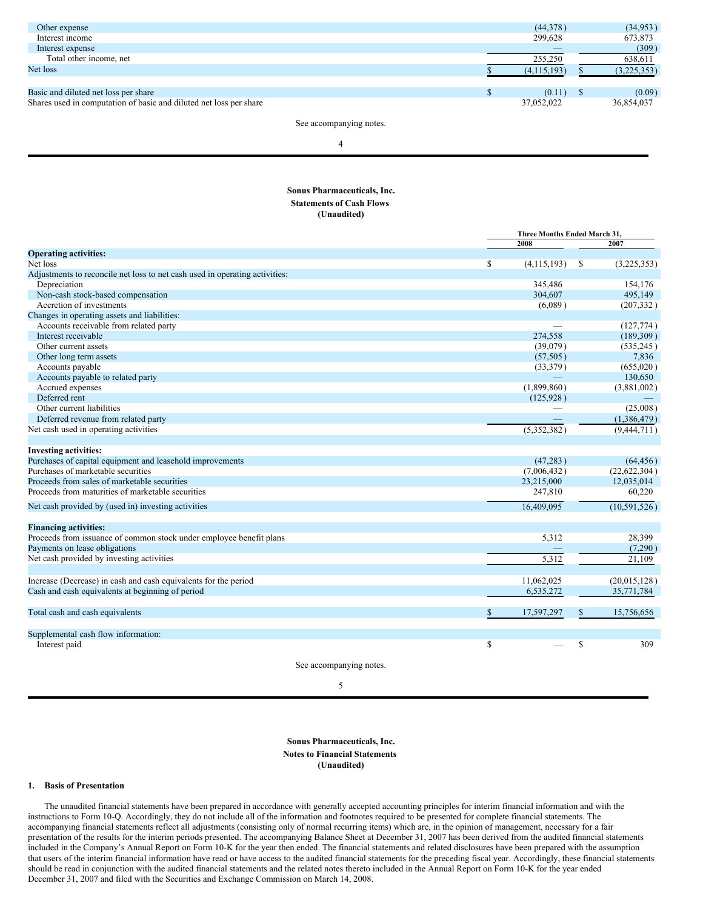| Other expense                                                      | (44,378)                 | (34, 953)   |
|--------------------------------------------------------------------|--------------------------|-------------|
| Interest income                                                    | 299,628                  | 673,873     |
| Interest expense                                                   | $\overline{\phantom{a}}$ | (309)       |
| Total other income, net                                            | 255,250                  | 638,611     |
| Net loss                                                           | (4,115,193)              | (3,225,353) |
|                                                                    |                          |             |
| Basic and diluted net loss per share                               | (0.11)                   | (0.09)      |
| Shares used in computation of basic and diluted net loss per share | 37,052,022               | 36,854,037  |
|                                                                    |                          |             |
|                                                                    |                          |             |

See accompanying notes.

<span id="page-2-0"></span>4

## **Sonus Pharmaceuticals, Inc. Statements of Cash Flows (Unaudited)**

|                                                                             | Three Months Ended March 31, |               |              |                |
|-----------------------------------------------------------------------------|------------------------------|---------------|--------------|----------------|
|                                                                             |                              | 2008          |              | 2007           |
| <b>Operating activities:</b>                                                |                              |               |              |                |
| Net loss                                                                    | \$                           | (4, 115, 193) | \$           | (3,225,353)    |
| Adjustments to reconcile net loss to net cash used in operating activities: |                              |               |              |                |
| Depreciation                                                                |                              | 345,486       |              | 154,176        |
| Non-cash stock-based compensation                                           |                              | 304,607       |              | 495,149        |
| Accretion of investments                                                    |                              | (6,089)       |              | (207, 332)     |
| Changes in operating assets and liabilities:                                |                              |               |              |                |
| Accounts receivable from related party                                      |                              |               |              | (127, 774)     |
| Interest receivable                                                         |                              | 274,558       |              | (189,309)      |
| Other current assets                                                        |                              | (39,079)      |              | (535, 245)     |
| Other long term assets                                                      |                              | (57, 505)     |              | 7,836          |
| Accounts payable                                                            |                              | (33,379)      |              | (655,020)      |
| Accounts payable to related party                                           |                              |               |              | 130,650        |
| Accrued expenses                                                            |                              | (1,899,860)   |              | (3,881,002)    |
| Deferred rent                                                               |                              | (125, 928)    |              |                |
| Other current liabilities                                                   |                              |               |              | (25,008)       |
| Deferred revenue from related party                                         |                              |               |              | (1,386,479)    |
| Net cash used in operating activities                                       |                              | (5,352,382)   |              | (9,444,711)    |
|                                                                             |                              |               |              |                |
| <b>Investing activities:</b>                                                |                              |               |              |                |
| Purchases of capital equipment and leasehold improvements                   |                              | (47, 283)     |              | (64, 456)      |
| Purchases of marketable securities                                          |                              | (7,006,432)   |              | (22,622,304)   |
| Proceeds from sales of marketable securities                                |                              | 23,215,000    |              | 12,035,014     |
| Proceeds from maturities of marketable securities                           |                              | 247,810       |              | 60,220         |
| Net cash provided by (used in) investing activities                         |                              | 16,409,095    |              | (10, 591, 526) |
| <b>Financing activities:</b>                                                |                              |               |              |                |
| Proceeds from issuance of common stock under employee benefit plans         |                              | 5,312         |              | 28,399         |
| Payments on lease obligations                                               |                              |               |              | (7,290)        |
| Net cash provided by investing activities                                   |                              | 5.312         |              | 21.109         |
|                                                                             |                              |               |              |                |
| Increase (Decrease) in cash and cash equivalents for the period             |                              | 11,062,025    |              | (20,015,128)   |
| Cash and cash equivalents at beginning of period                            |                              | 6,535,272     |              | 35,771,784     |
|                                                                             |                              |               |              |                |
| Total cash and cash equivalents                                             | S                            | 17,597,297    | $\mathbb{S}$ | 15,756,656     |
| Supplemental cash flow information:                                         |                              |               |              |                |
| Interest paid                                                               | \$                           |               | \$           | 309            |
| See accompanying notes.                                                     |                              |               |              |                |

<span id="page-2-1"></span>5

**Sonus Pharmaceuticals, Inc. Notes to Financial Statements (Unaudited)**

## **1. Basis of Presentation**

The unaudited financial statements have been prepared in accordance with generally accepted accounting principles for interim financial information and with the instructions to Form 10-Q. Accordingly, they do not include all of the information and footnotes required to be presented for complete financial statements. The accompanying financial statements reflect all adjustments (consisting only of normal recurring items) which are, in the opinion of management, necessary for a fair presentation of the results for the interim periods presented. The accompanying Balance Sheet at December 31, 2007 has been derived from the audited financial statements included in the Company's Annual Report on Form 10-K for the year then ended. The financial statements and related disclosures have been prepared with the assumption that users of the interim financial information have read or have access to the audited financial statements for the preceding fiscal year. Accordingly, these financial statements should be read in conjunction with the audited financial statements and the related notes thereto included in the Annual Report on Form 10-K for the year ended December 31, 2007 and filed with the Securities and Exchange Commission on March 14, 2008.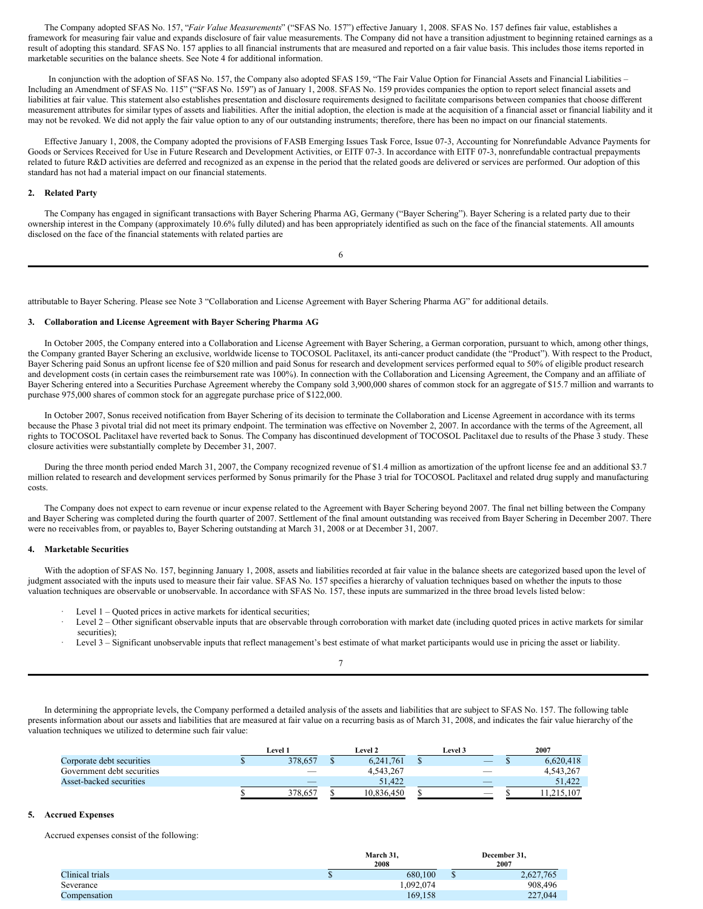The Company adopted SFAS No. 157, "*Fair Value Measurements*" ("SFAS No. 157") effective January 1, 2008. SFAS No. 157 defines fair value, establishes a framework for measuring fair value and expands disclosure of fair value measurements. The Company did not have a transition adjustment to beginning retained earnings as a result of adopting this standard. SFAS No. 157 applies to all financial instruments that are measured and reported on a fair value basis. This includes those items reported in marketable securities on the balance sheets. See Note 4 for additional information.

In conjunction with the adoption of SFAS No. 157, the Company also adopted SFAS 159, "The Fair Value Option for Financial Assets and Financial Liabilities – Including an Amendment of SFAS No. 115" ("SFAS No. 159") as of January 1, 2008. SFAS No. 159 provides companies the option to report select financial assets and liabilities at fair value. This statement also establishes presentation and disclosure requirements designed to facilitate comparisons between companies that choose different measurement attributes for similar types of assets and liabilities. After the initial adoption, the election is made at the acquisition of a financial asset or financial liability and it may not be revoked. We did not apply the fair value option to any of our outstanding instruments; therefore, there has been no impact on our financial statements.

Effective January 1, 2008, the Company adopted the provisions of FASB Emerging Issues Task Force, Issue 07-3, Accounting for Nonrefundable Advance Payments for Goods or Services Received for Use in Future Research and Development Activities, or EITF 07-3. In accordance with EITF 07-3, nonrefundable contractual prepayments related to future R&D activities are deferred and recognized as an expense in the period that the related goods are delivered or services are performed. Our adoption of this standard has not had a material impact on our financial statements.

## **2. Related Party**

The Company has engaged in significant transactions with Bayer Schering Pharma AG, Germany ("Bayer Schering"). Bayer Schering is a related party due to their ownership interest in the Company (approximately 10.6% fully diluted) and has been appropriately identified as such on the face of the financial statements. All amounts disclosed on the face of the financial statements with related parties are

6

attributable to Bayer Schering. Please see Note 3 "Collaboration and License Agreement with Bayer Schering Pharma AG" for additional details.

#### **3. Collaboration and License Agreement with Bayer Schering Pharma AG**

In October 2005, the Company entered into a Collaboration and License Agreement with Bayer Schering, a German corporation, pursuant to which, among other things, the Company granted Bayer Schering an exclusive, worldwide license to TOCOSOL Paclitaxel, its anti-cancer product candidate (the "Product"). With respect to the Product, Bayer Schering paid Sonus an upfront license fee of \$20 million and paid Sonus for research and development services performed equal to 50% of eligible product research and development costs (in certain cases the reimbursement rate was 100%). In connection with the Collaboration and Licensing Agreement, the Company and an affiliate of Bayer Schering entered into a Securities Purchase Agreement whereby the Company sold 3,900,000 shares of common stock for an aggregate of \$15.7 million and warrants to purchase 975,000 shares of common stock for an aggregate purchase price of \$122,000.

In October 2007, Sonus received notification from Bayer Schering of its decision to terminate the Collaboration and License Agreement in accordance with its terms because the Phase 3 pivotal trial did not meet its primary endpoint. The termination was effective on November 2, 2007. In accordance with the terms of the Agreement, all rights to TOCOSOL Paclitaxel have reverted back to Sonus. The Company has discontinued development of TOCOSOL Paclitaxel due to results of the Phase 3 study. These closure activities were substantially complete by December 31, 2007.

During the three month period ended March 31, 2007, the Company recognized revenue of \$1.4 million as amortization of the upfront license fee and an additional \$3.7 million related to research and development services performed by Sonus primarily for the Phase 3 trial for TOCOSOL Paclitaxel and related drug supply and manufacturing costs.

The Company does not expect to earn revenue or incur expense related to the Agreement with Bayer Schering beyond 2007. The final net billing between the Company and Bayer Schering was completed during the fourth quarter of 2007. Settlement of the final amount outstanding was received from Bayer Schering in December 2007. There were no receivables from, or payables to, Bayer Schering outstanding at March 31, 2008 or at December 31, 2007.

#### **4. Marketable Securities**

With the adoption of SFAS No. 157, beginning January 1, 2008, assets and liabilities recorded at fair value in the balance sheets are categorized based upon the level of judgment associated with the inputs used to measure their fair value. SFAS No. 157 specifies a hierarchy of valuation techniques based on whether the inputs to those valuation techniques are observable or unobservable. In accordance with SFAS No. 157, these inputs are summarized in the three broad levels listed below:

- Level  $1 -$ Quoted prices in active markets for identical securities;
- Level 2 Other significant observable inputs that are observable through corroboration with market date (including quoted prices in active markets for similar securities);
- Level 3 Significant unobservable inputs that reflect management's best estimate of what market participants would use in pricing the asset or liability.

In determining the appropriate levels, the Company performed a detailed analysis of the assets and liabilities that are subject to SFAS No. 157. The following table presents information about our assets and liabilities that are measured at fair value on a recurring basis as of March 31, 2008, and indicates the fair value hierarchy of the valuation techniques we utilized to determine such fair value:

|                            | Level 1                  | Level 2    | <b>Level 3</b> | 2007      |
|----------------------------|--------------------------|------------|----------------|-----------|
| Corporate debt securities  | 378.657                  | 6.241.761  |                | 6.620.418 |
| Government debt securities |                          | 4.543.267  | -              | 4.543.267 |
| Asset-backed securities    | $\overline{\phantom{a}}$ | 51.422     |                | 51.422    |
|                            | 378,657                  | 10.836.450 | -              |           |

### **5. Accrued Expenses**

Accrued expenses consist of the following:

|          |      | 2007      |
|----------|------|-----------|
| 680,100  | ۰D   | 2,627,765 |
| ,092,074 |      | 908,496   |
| 169.158  |      | 227,044   |
|          | 2008 |           |

<sup>7</sup>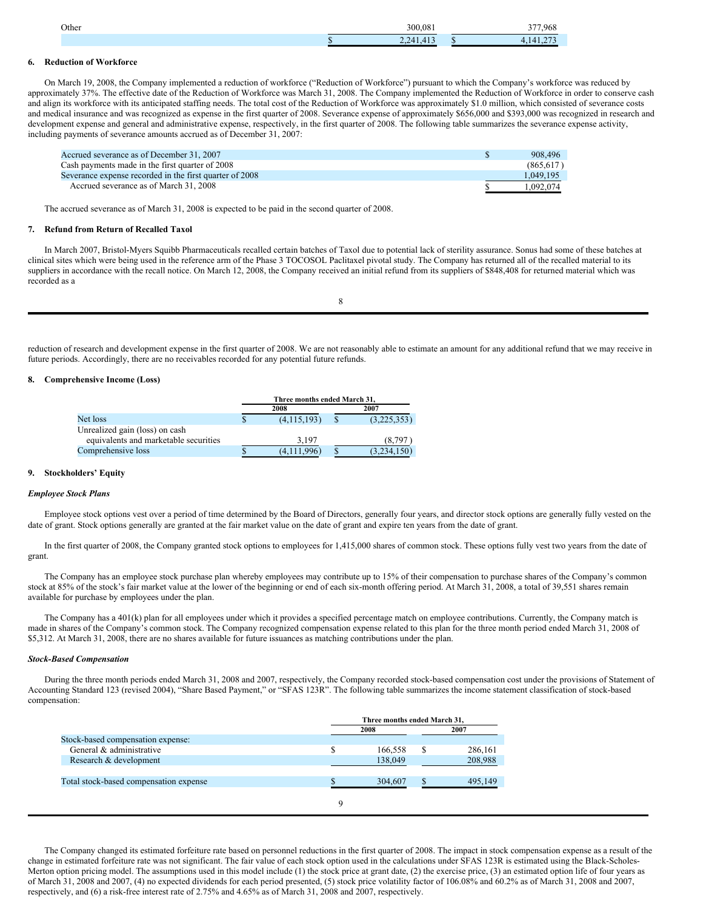| Other | 300,081<br>$-$      |      | 377.968                              |
|-------|---------------------|------|--------------------------------------|
|       | $\sim$<br>2,241,413 | - 12 | $\sim$ $\sim$ $\sim$<br>$A$ 1<br>. . |

#### **6. Reduction of Workforce**

On March 19, 2008, the Company implemented a reduction of workforce ("Reduction of Workforce") pursuant to which the Company's workforce was reduced by approximately 37%. The effective date of the Reduction of Workforce was March 31, 2008. The Company implemented the Reduction of Workforce in order to conserve cash and align its workforce with its anticipated staffing needs. The total cost of the Reduction of Workforce was approximately \$1.0 million, which consisted of severance costs and medical insurance and was recognized as expense in the first quarter of 2008. Severance expense of approximately \$656,000 and \$393,000 was recognized in research and development expense and general and administrative expense, respectively, in the first quarter of 2008. The following table summarizes the severance expense activity, including payments of severance amounts accrued as of December 31, 2007:

| Accrued severance as of December 31, 2007               | 908,496   |
|---------------------------------------------------------|-----------|
| Cash payments made in the first quarter of 2008         | (865.617) |
| Severance expense recorded in the first quarter of 2008 | 1.049.195 |
| Accrued severance as of March 31, 2008                  | 1.092.074 |

The accrued severance as of March 31, 2008 is expected to be paid in the second quarter of 2008.

#### **7. Refund from Return of Recalled Taxol**

In March 2007, Bristol-Myers Squibb Pharmaceuticals recalled certain batches of Taxol due to potential lack of sterility assurance. Sonus had some of these batches at clinical sites which were being used in the reference arm of the Phase 3 TOCOSOL Paclitaxel pivotal study. The Company has returned all of the recalled material to its suppliers in accordance with the recall notice. On March 12, 2008, the Company received an initial refund from its suppliers of \$848,408 for returned material which was recorded as a

| I |              |  |
|---|--------------|--|
| × | ۰,<br>٦<br>v |  |

reduction of research and development expense in the first quarter of 2008. We are not reasonably able to estimate an amount for any additional refund that we may receive in future periods. Accordingly, there are no receivables recorded for any potential future refunds.

## **8. Comprehensive Income (Loss)**

|                                       |   | Three months ended March 31, |  |             |  |  |  |  |
|---------------------------------------|---|------------------------------|--|-------------|--|--|--|--|
|                                       |   | 2008                         |  | 2007        |  |  |  |  |
| Net loss                              |   | (4, 115, 193)                |  | (3,225,353) |  |  |  |  |
| Unrealized gain (loss) on cash        |   |                              |  |             |  |  |  |  |
| equivalents and marketable securities |   | 3.197                        |  | (8.797      |  |  |  |  |
| Comprehensive loss                    | S | (4,111,996)                  |  | (3,234,150) |  |  |  |  |

## **9. Stockholders' Equity**

#### *Employee Stock Plans*

Employee stock options vest over a period of time determined by the Board of Directors, generally four years, and director stock options are generally fully vested on the date of grant. Stock options generally are granted at the fair market value on the date of grant and expire ten years from the date of grant.

In the first quarter of 2008, the Company granted stock options to employees for 1,415,000 shares of common stock. These options fully vest two years from the date of grant.

The Company has an employee stock purchase plan whereby employees may contribute up to 15% of their compensation to purchase shares of the Company's common stock at 85% of the stock's fair market value at the lower of the beginning or end of each six-month offering period. At March 31, 2008, a total of 39,551 shares remain available for purchase by employees under the plan.

The Company has a 401(k) plan for all employees under which it provides a specified percentage match on employee contributions. Currently, the Company match is made in shares of the Company's common stock. The Company recognized compensation expense related to this plan for the three month period ended March 31, 2008 of \$5,312. At March 31, 2008, there are no shares available for future issuances as matching contributions under the plan.

#### *Stock-Based Compensation*

During the three month periods ended March 31, 2008 and 2007, respectively, the Company recorded stock-based compensation cost under the provisions of Statement of Accounting Standard 123 (revised 2004), "Share Based Payment," or "SFAS 123R". The following table summarizes the income statement classification of stock-based compensation:

|                                        | Three months ended March 31. |  |         |  |  |
|----------------------------------------|------------------------------|--|---------|--|--|
|                                        | 2008                         |  | 2007    |  |  |
| Stock-based compensation expense:      |                              |  |         |  |  |
| General & administrative               | \$<br>166,558                |  | 286,161 |  |  |
| Research & development                 | 138,049                      |  | 208,988 |  |  |
|                                        |                              |  |         |  |  |
| Total stock-based compensation expense | 304,607                      |  | 495,149 |  |  |
|                                        |                              |  |         |  |  |
|                                        |                              |  |         |  |  |

The Company changed its estimated forfeiture rate based on personnel reductions in the first quarter of 2008. The impact in stock compensation expense as a result of the change in estimated forfeiture rate was not significant. The fair value of each stock option used in the calculations under SFAS 123R is estimated using the Black-Scholes-Merton option pricing model. The assumptions used in this model include (1) the stock price at grant date, (2) the exercise price, (3) an estimated option life of four years as of March 31, 2008 and 2007, (4) no expected dividends for each period presented, (5) stock price volatility factor of 106.08% and 60.2% as of March 31, 2008 and 2007, respectively, and (6) a risk-free interest rate of 2.75% and 4.65% as of March 31, 2008 and 2007, respectively.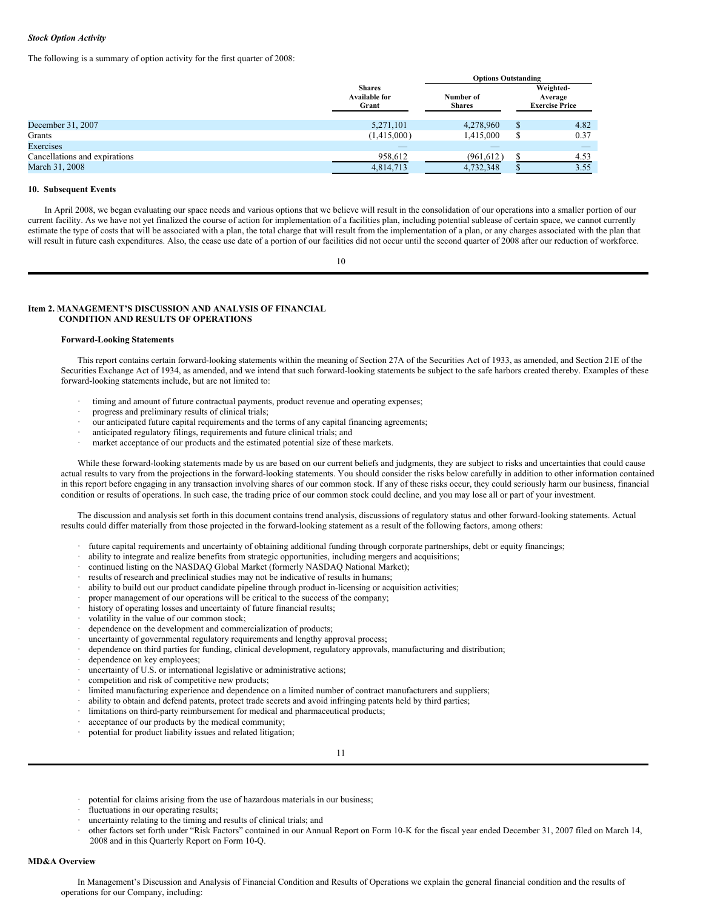#### *Stock Option Activity*

The following is a summary of option activity for the first quarter of 2008:

|                               |                                                | <b>Options Outstanding</b> |   |                                               |  |
|-------------------------------|------------------------------------------------|----------------------------|---|-----------------------------------------------|--|
|                               | <b>Shares</b><br><b>Available for</b><br>Grant | Number of<br><b>Shares</b> |   | Weighted-<br>Average<br><b>Exercise Price</b> |  |
| December 31, 2007             | 5,271,101                                      | 4,278,960                  | S | 4.82                                          |  |
| Grants                        | (1,415,000)                                    | 1,415,000                  | S | 0.37                                          |  |
| Exercises                     |                                                |                            |   |                                               |  |
| Cancellations and expirations | 958,612                                        | (961, 612)                 |   | 4.53                                          |  |
| March 31, 2008                | 4,814,713                                      | 4,732,348                  |   | 3.55                                          |  |

### **10. Subsequent Events**

In April 2008, we began evaluating our space needs and various options that we believe will result in the consolidation of our operations into a smaller portion of our current facility. As we have not yet finalized the course of action for implementation of a facilities plan, including potential sublease of certain space, we cannot currently estimate the type of costs that will be associated with a plan, the total charge that will result from the implementation of a plan, or any charges associated with the plan that will result in future cash expenditures. Also, the cease use date of a portion of our facilities did not occur until the second quarter of 2008 after our reduction of workforce.

<span id="page-5-0"></span>10

## **Item 2. MANAGEMENT'S DISCUSSION AND ANALYSIS OF FINANCIAL CONDITION AND RESULTS OF OPERATIONS**

## **Forward-Looking Statements**

This report contains certain forward-looking statements within the meaning of Section 27A of the Securities Act of 1933, as amended, and Section 21E of the Securities Exchange Act of 1934, as amended, and we intend that such forward-looking statements be subject to the safe harbors created thereby. Examples of these forward-looking statements include, but are not limited to:

- timing and amount of future contractual payments, product revenue and operating expenses;
- progress and preliminary results of clinical trials;
- our anticipated future capital requirements and the terms of any capital financing agreements;
- anticipated regulatory filings, requirements and future clinical trials; and
- market acceptance of our products and the estimated potential size of these markets.

While these forward-looking statements made by us are based on our current beliefs and judgments, they are subject to risks and uncertainties that could cause actual results to vary from the projections in the forward-looking statements. You should consider the risks below carefully in addition to other information contained in this report before engaging in any transaction involving shares of our common stock. If any of these risks occur, they could seriously harm our business, financial condition or results of operations. In such case, the trading price of our common stock could decline, and you may lose all or part of your investment.

The discussion and analysis set forth in this document contains trend analysis, discussions of regulatory status and other forward-looking statements. Actual results could differ materially from those projected in the forward-looking statement as a result of the following factors, among others:

- future capital requirements and uncertainty of obtaining additional funding through corporate partnerships, debt or equity financings;
- ability to integrate and realize benefits from strategic opportunities, including mergers and acquisitions;
- continued listing on the NASDAQ Global Market (formerly NASDAQ National Market);
- results of research and preclinical studies may not be indicative of results in humans;
- ability to build out our product candidate pipeline through product in-licensing or acquisition activities;
- proper management of our operations will be critical to the success of the company;
- history of operating losses and uncertainty of future financial results;
- volatility in the value of our common stock;
- · dependence on the development and commercialization of products;
- uncertainty of governmental regulatory requirements and lengthy approval process;
- dependence on third parties for funding, clinical development, regulatory approvals, manufacturing and distribution;
- · dependence on key employees;
- · uncertainty of U.S. or international legislative or administrative actions;
- competition and risk of competitive new products;
- limited manufacturing experience and dependence on a limited number of contract manufacturers and suppliers;
- · ability to obtain and defend patents, protect trade secrets and avoid infringing patents held by third parties;
- · limitations on third-party reimbursement for medical and pharmaceutical products;
- acceptance of our products by the medical community;
- potential for product liability issues and related litigation;

- potential for claims arising from the use of hazardous materials in our business;
- · fluctuations in our operating results;
- uncertainty relating to the timing and results of clinical trials; and
- · other factors set forth under "Risk Factors" contained in our Annual Report on Form 10-K for the fiscal year ended December 31, 2007 filed on March 14, 2008 and in this Quarterly Report on Form 10-Q.

#### **MD&A Overview**

In Management's Discussion and Analysis of Financial Condition and Results of Operations we explain the general financial condition and the results of operations for our Company, including: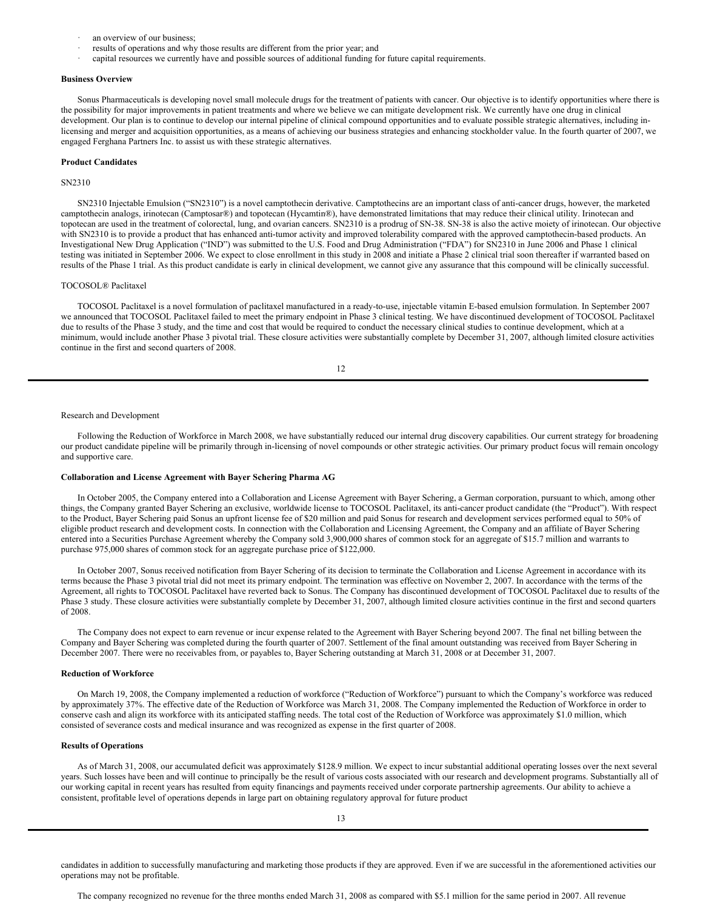- · an overview of our business;
- results of operations and why those results are different from the prior year; and
- capital resources we currently have and possible sources of additional funding for future capital requirements.

#### **Business Overview**

Sonus Pharmaceuticals is developing novel small molecule drugs for the treatment of patients with cancer. Our objective is to identify opportunities where there is the possibility for major improvements in patient treatments and where we believe we can mitigate development risk. We currently have one drug in clinical development. Our plan is to continue to develop our internal pipeline of clinical compound opportunities and to evaluate possible strategic alternatives, including inlicensing and merger and acquisition opportunities, as a means of achieving our business strategies and enhancing stockholder value. In the fourth quarter of 2007, we engaged Ferghana Partners Inc. to assist us with these strategic alternatives.

#### **Product Candidates**

## SN2310

SN2310 Injectable Emulsion ("SN2310") is a novel camptothecin derivative. Camptothecins are an important class of anti-cancer drugs, however, the marketed camptothecin analogs, irinotecan (Camptosar®) and topotecan (Hycamtin®), have demonstrated limitations that may reduce their clinical utility. Irinotecan and topotecan are used in the treatment of colorectal, lung, and ovarian cancers. SN2310 is a prodrug of SN-38. SN-38 is also the active moiety of irinotecan. Our objective with SN2310 is to provide a product that has enhanced anti-tumor activity and improved tolerability compared with the approved camptothecin-based products. An Investigational New Drug Application ("IND") was submitted to the U.S. Food and Drug Administration ("FDA") for SN2310 in June 2006 and Phase 1 clinical testing was initiated in September 2006. We expect to close enrollment in this study in 2008 and initiate a Phase 2 clinical trial soon thereafter if warranted based on results of the Phase 1 trial. As this product candidate is early in clinical development, we cannot give any assurance that this compound will be clinically successful.

## TOCOSOL® Paclitaxel

TOCOSOL Paclitaxel is a novel formulation of paclitaxel manufactured in a ready-to-use, injectable vitamin E-based emulsion formulation. In September 2007 we announced that TOCOSOL Paclitaxel failed to meet the primary endpoint in Phase 3 clinical testing. We have discontinued development of TOCOSOL Paclitaxel due to results of the Phase 3 study, and the time and cost that would be required to conduct the necessary clinical studies to continue development, which at a minimum, would include another Phase 3 pivotal trial. These closure activities were substantially complete by December 31, 2007, although limited closure activities continue in the first and second quarters of 2008.

## Research and Development

Following the Reduction of Workforce in March 2008, we have substantially reduced our internal drug discovery capabilities. Our current strategy for broadening our product candidate pipeline will be primarily through in-licensing of novel compounds or other strategic activities. Our primary product focus will remain oncology and supportive care.

#### **Collaboration and License Agreement with Bayer Schering Pharma AG**

In October 2005, the Company entered into a Collaboration and License Agreement with Bayer Schering, a German corporation, pursuant to which, among other things, the Company granted Bayer Schering an exclusive, worldwide license to TOCOSOL Paclitaxel, its anti-cancer product candidate (the "Product"). With respect to the Product, Bayer Schering paid Sonus an upfront license fee of \$20 million and paid Sonus for research and development services performed equal to 50% of eligible product research and development costs. In connection with the Collaboration and Licensing Agreement, the Company and an affiliate of Bayer Schering entered into a Securities Purchase Agreement whereby the Company sold 3,900,000 shares of common stock for an aggregate of \$15.7 million and warrants to purchase 975,000 shares of common stock for an aggregate purchase price of \$122,000.

In October 2007, Sonus received notification from Bayer Schering of its decision to terminate the Collaboration and License Agreement in accordance with its terms because the Phase 3 pivotal trial did not meet its primary endpoint. The termination was effective on November 2, 2007. In accordance with the terms of the Agreement, all rights to TOCOSOL Paclitaxel have reverted back to Sonus. The Company has discontinued development of TOCOSOL Paclitaxel due to results of the Phase 3 study. These closure activities were substantially complete by December 31, 2007, although limited closure activities continue in the first and second quarters of 2008.

The Company does not expect to earn revenue or incur expense related to the Agreement with Bayer Schering beyond 2007. The final net billing between the Company and Bayer Schering was completed during the fourth quarter of 2007. Settlement of the final amount outstanding was received from Bayer Schering in December 2007. There were no receivables from, or payables to, Bayer Schering outstanding at March 31, 2008 or at December 31, 2007.

### **Reduction of Workforce**

On March 19, 2008, the Company implemented a reduction of workforce ("Reduction of Workforce") pursuant to which the Company's workforce was reduced by approximately 37%. The effective date of the Reduction of Workforce was March 31, 2008. The Company implemented the Reduction of Workforce in order to conserve cash and align its workforce with its anticipated staffing needs. The total cost of the Reduction of Workforce was approximately \$1.0 million, which consisted of severance costs and medical insurance and was recognized as expense in the first quarter of 2008.

#### **Results of Operations**

As of March 31, 2008, our accumulated deficit was approximately \$128.9 million. We expect to incur substantial additional operating losses over the next several years. Such losses have been and will continue to principally be the result of various costs associated with our research and development programs. Substantially all of our working capital in recent years has resulted from equity financings and payments received under corporate partnership agreements. Our ability to achieve a consistent, profitable level of operations depends in large part on obtaining regulatory approval for future product

candidates in addition to successfully manufacturing and marketing those products if they are approved. Even if we are successful in the aforementioned activities our operations may not be profitable.

The company recognized no revenue for the three months ended March 31, 2008 as compared with \$5.1 million for the same period in 2007. All revenue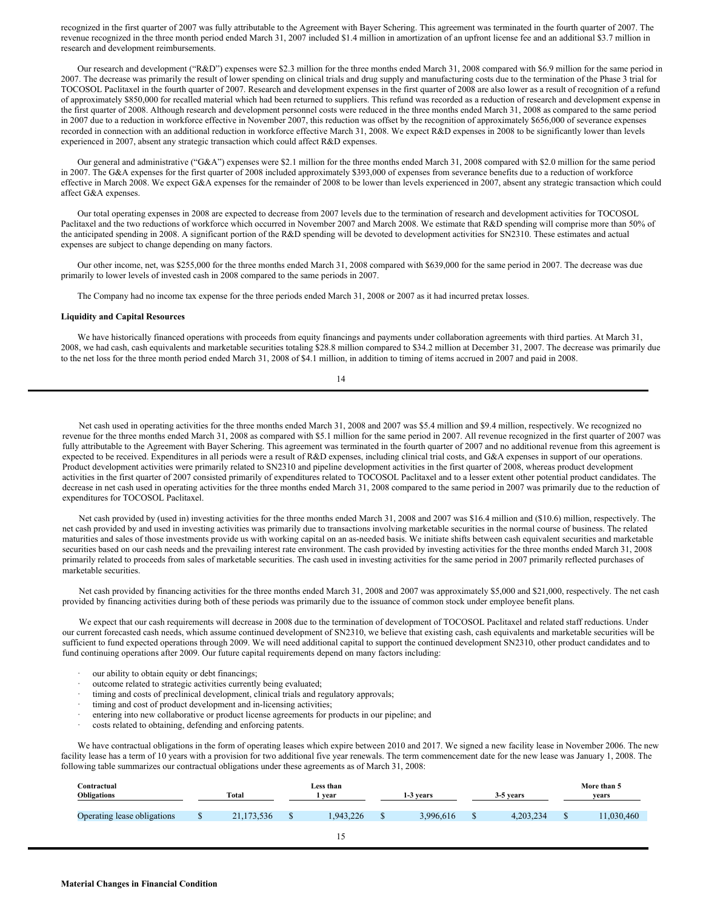recognized in the first quarter of 2007 was fully attributable to the Agreement with Bayer Schering. This agreement was terminated in the fourth quarter of 2007. The revenue recognized in the three month period ended March 31, 2007 included \$1.4 million in amortization of an upfront license fee and an additional \$3.7 million in research and development reimbursements.

Our research and development ("R&D") expenses were \$2.3 million for the three months ended March 31, 2008 compared with \$6.9 million for the same period in 2007. The decrease was primarily the result of lower spending on clinical trials and drug supply and manufacturing costs due to the termination of the Phase 3 trial for TOCOSOL Paclitaxel in the fourth quarter of 2007. Research and development expenses in the first quarter of 2008 are also lower as a result of recognition of a refund of approximately \$850,000 for recalled material which had been returned to suppliers. This refund was recorded as a reduction of research and development expense in the first quarter of 2008. Although research and development personnel costs were reduced in the three months ended March 31, 2008 as compared to the same period in 2007 due to a reduction in workforce effective in November 2007, this reduction was offset by the recognition of approximately \$656,000 of severance expenses recorded in connection with an additional reduction in workforce effective March 31, 2008. We expect R&D expenses in 2008 to be significantly lower than levels experienced in 2007, absent any strategic transaction which could affect R&D expenses.

Our general and administrative ("G&A") expenses were \$2.1 million for the three months ended March 31, 2008 compared with \$2.0 million for the same period in 2007. The G&A expenses for the first quarter of 2008 included approximately \$393,000 of expenses from severance benefits due to a reduction of workforce effective in March 2008. We expect G&A expenses for the remainder of 2008 to be lower than levels experienced in 2007, absent any strategic transaction which could affect G&A expenses.

Our total operating expenses in 2008 are expected to decrease from 2007 levels due to the termination of research and development activities for TOCOSOL Paclitaxel and the two reductions of workforce which occurred in November 2007 and March 2008. We estimate that R&D spending will comprise more than 50% of the anticipated spending in 2008. A significant portion of the R&D spending will be devoted to development activities for SN2310. These estimates and actual expenses are subject to change depending on many factors.

Our other income, net, was \$255,000 for the three months ended March 31, 2008 compared with \$639,000 for the same period in 2007. The decrease was due primarily to lower levels of invested cash in 2008 compared to the same periods in 2007.

The Company had no income tax expense for the three periods ended March 31, 2008 or 2007 as it had incurred pretax losses.

#### **Liquidity and Capital Resources**

We have historically financed operations with proceeds from equity financings and payments under collaboration agreements with third parties. At March 31, 2008, we had cash, cash equivalents and marketable securities totaling \$28.8 million compared to \$34.2 million at December 31, 2007. The decrease was primarily due to the net loss for the three month period ended March 31, 2008 of \$4.1 million, in addition to timing of items accrued in 2007 and paid in 2008.

14

Net cash used in operating activities for the three months ended March 31, 2008 and 2007 was \$5.4 million and \$9.4 million, respectively. We recognized no revenue for the three months ended March 31, 2008 as compared with \$5.1 million for the same period in 2007. All revenue recognized in the first quarter of 2007 was fully attributable to the Agreement with Bayer Schering. This agreement was terminated in the fourth quarter of 2007 and no additional revenue from this agreement is expected to be received. Expenditures in all periods were a result of R&D expenses, including clinical trial costs, and G&A expenses in support of our operations. Product development activities were primarily related to SN2310 and pipeline development activities in the first quarter of 2008, whereas product development activities in the first quarter of 2007 consisted primarily of expenditures related to TOCOSOL Paclitaxel and to a lesser extent other potential product candidates. The decrease in net cash used in operating activities for the three months ended March 31, 2008 compared to the same period in 2007 was primarily due to the reduction of expenditures for TOCOSOL Paclitaxel.

Net cash provided by (used in) investing activities for the three months ended March 31, 2008 and 2007 was \$16.4 million and (\$10.6) million, respectively. The net cash provided by and used in investing activities was primarily due to transactions involving marketable securities in the normal course of business. The related maturities and sales of those investments provide us with working capital on an as-needed basis. We initiate shifts between cash equivalent securities and marketable securities based on our cash needs and the prevailing interest rate environment. The cash provided by investing activities for the three months ended March 31, 2008 primarily related to proceeds from sales of marketable securities. The cash used in investing activities for the same period in 2007 primarily reflected purchases of marketable securities.

Net cash provided by financing activities for the three months ended March 31, 2008 and 2007 was approximately \$5,000 and \$21,000, respectively. The net cash provided by financing activities during both of these periods was primarily due to the issuance of common stock under employee benefit plans.

We expect that our cash requirements will decrease in 2008 due to the termination of development of TOCOSOL Paclitaxel and related staff reductions. Under our current forecasted cash needs, which assume continued development of SN2310, we believe that existing cash, cash equivalents and marketable securities will be sufficient to fund expected operations through 2009. We will need additional capital to support the continued development SN2310, other product candidates and to fund continuing operations after 2009. Our future capital requirements depend on many factors including:

- our ability to obtain equity or debt financings;
- outcome related to strategic activities currently being evaluated;
- timing and costs of preclinical development, clinical trials and regulatory approvals;
- timing and cost of product development and in-licensing activities;
- entering into new collaborative or product license agreements for products in our pipeline; and
- costs related to obtaining, defending and enforcing patents.

We have contractual obligations in the form of operating leases which expire between 2010 and 2017. We signed a new facility lease in November 2006. The new facility lease has a term of 10 years with a provision for two additional five year renewals. The term commencement date for the new lease was January 1, 2008. The following table summarizes our contractual obligations under these agreements as of March 31, 2008:

| Contractual<br>Obligations  |    | Total      | Less than<br>1 vear | 1-3 years       |   | 3-5 years |   | More than 5<br>vears |
|-----------------------------|----|------------|---------------------|-----------------|---|-----------|---|----------------------|
| Operating lease obligations | P. | 21,173,536 | \$<br>1,943,226     | \$<br>3.996.616 | S | 4,203,234 | S | 1,030,460            |
|                             |    |            | …                   |                 |   |           |   |                      |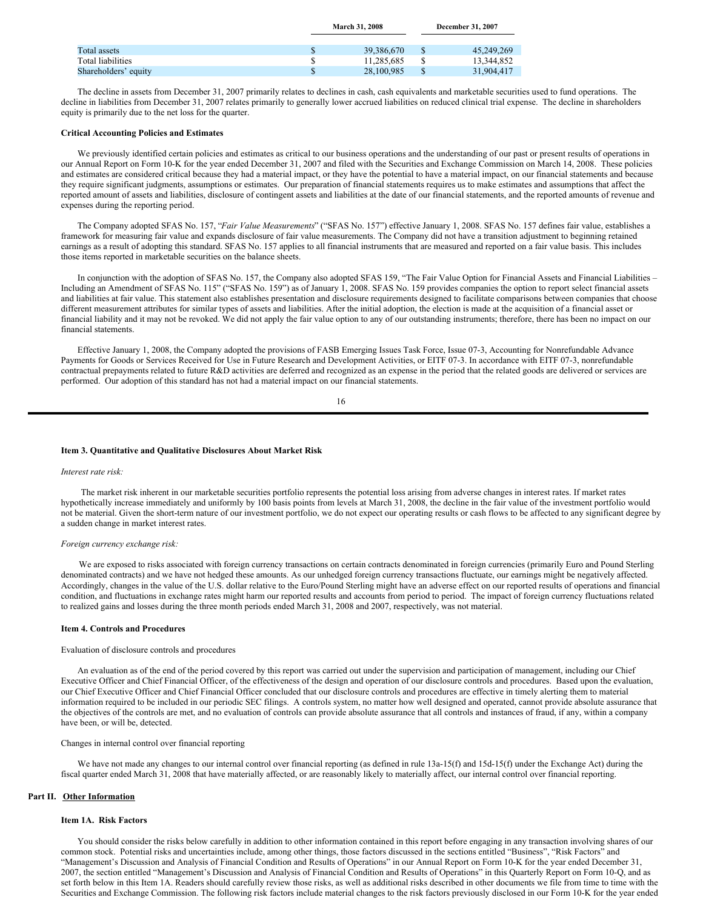|                      | <b>March 31, 2008</b> |            | <b>December 31, 2007</b> |  |  |
|----------------------|-----------------------|------------|--------------------------|--|--|
|                      |                       |            |                          |  |  |
| Total assets         |                       | 39,386,670 | 45.249.269               |  |  |
| Total liabilities    |                       | 11.285.685 | 13,344,852               |  |  |
| Shareholders' equity |                       | 28,100,985 | 31,904,417               |  |  |

The decline in assets from December 31, 2007 primarily relates to declines in cash, cash equivalents and marketable securities used to fund operations. The decline in liabilities from December 31, 2007 relates primarily to generally lower accrued liabilities on reduced clinical trial expense. The decline in shareholders equity is primarily due to the net loss for the quarter.

## **Critical Accounting Policies and Estimates**

We previously identified certain policies and estimates as critical to our business operations and the understanding of our past or present results of operations in our Annual Report on Form 10-K for the year ended December 31, 2007 and filed with the Securities and Exchange Commission on March 14, 2008. These policies and estimates are considered critical because they had a material impact, or they have the potential to have a material impact, on our financial statements and because they require significant judgments, assumptions or estimates. Our preparation of financial statements requires us to make estimates and assumptions that affect the reported amount of assets and liabilities, disclosure of contingent assets and liabilities at the date of our financial statements, and the reported amounts of revenue and expenses during the reporting period.

The Company adopted SFAS No. 157, "*Fair Value Measurements*" ("SFAS No. 157") effective January 1, 2008. SFAS No. 157 defines fair value, establishes a framework for measuring fair value and expands disclosure of fair value measurements. The Company did not have a transition adjustment to beginning retained earnings as a result of adopting this standard. SFAS No. 157 applies to all financial instruments that are measured and reported on a fair value basis. This includes those items reported in marketable securities on the balance sheets.

In conjunction with the adoption of SFAS No. 157, the Company also adopted SFAS 159, "The Fair Value Option for Financial Assets and Financial Liabilities -Including an Amendment of SFAS No. 115" ("SFAS No. 159") as of January 1, 2008. SFAS No. 159 provides companies the option to report select financial assets and liabilities at fair value. This statement also establishes presentation and disclosure requirements designed to facilitate comparisons between companies that choose different measurement attributes for similar types of assets and liabilities. After the initial adoption, the election is made at the acquisition of a financial asset or financial liability and it may not be revoked. We did not apply the fair value option to any of our outstanding instruments; therefore, there has been no impact on our financial statements.

Effective January 1, 2008, the Company adopted the provisions of FASB Emerging Issues Task Force, Issue 07-3, Accounting for Nonrefundable Advance Payments for Goods or Services Received for Use in Future Research and Development Activities, or EITF 07-3. In accordance with EITF 07-3, nonrefundable contractual prepayments related to future R&D activities are deferred and recognized as an expense in the period that the related goods are delivered or services are performed. Our adoption of this standard has not had a material impact on our financial statements.

<span id="page-8-0"></span>16

#### **Item 3. Quantitative and Qualitative Disclosures About Market Risk**

#### *Interest rate risk:*

The market risk inherent in our marketable securities portfolio represents the potential loss arising from adverse changes in interest rates. If market rates hypothetically increase immediately and uniformly by 100 basis points from levels at March 31, 2008, the decline in the fair value of the investment portfolio would not be material. Given the short-term nature of our investment portfolio, we do not expect our operating results or cash flows to be affected to any significant degree by a sudden change in market interest rates.

### *Foreign currency exchange risk:*

We are exposed to risks associated with foreign currency transactions on certain contracts denominated in foreign currencies (primarily Euro and Pound Sterling denominated contracts) and we have not hedged these amounts. As our unhedged foreign currency transactions fluctuate, our earnings might be negatively affected. Accordingly, changes in the value of the U.S. dollar relative to the Euro/Pound Sterling might have an adverse effect on our reported results of operations and financial condition, and fluctuations in exchange rates might harm our reported results and accounts from period to period. The impact of foreign currency fluctuations related to realized gains and losses during the three month periods ended March 31, 2008 and 2007, respectively, was not material.

### <span id="page-8-1"></span>**Item 4. Controls and Procedures**

#### Evaluation of disclosure controls and procedures

An evaluation as of the end of the period covered by this report was carried out under the supervision and participation of management, including our Chief Executive Officer and Chief Financial Officer, of the effectiveness of the design and operation of our disclosure controls and procedures. Based upon the evaluation, our Chief Executive Officer and Chief Financial Officer concluded that our disclosure controls and procedures are effective in timely alerting them to material information required to be included in our periodic SEC filings. A controls system, no matter how well designed and operated, cannot provide absolute assurance that the objectives of the controls are met, and no evaluation of controls can provide absolute assurance that all controls and instances of fraud, if any, within a company have been, or will be, detected.

## Changes in internal control over financial reporting

We have not made any changes to our internal control over financial reporting (as defined in rule 13a-15(f) and 15d-15(f) under the Exchange Act) during the fiscal quarter ended March 31, 2008 that have materially affected, or are reasonably likely to materially affect, our internal control over financial reporting.

### **Part II. Other Information**

#### <span id="page-8-3"></span><span id="page-8-2"></span>**Item 1A. Risk Factors**

You should consider the risks below carefully in addition to other information contained in this report before engaging in any transaction involving shares of our common stock. Potential risks and uncertainties include, among other things, those factors discussed in the sections entitled "Business", "Risk Factors" and "Management's Discussion and Analysis of Financial Condition and Results of Operations" in our Annual Report on Form 10-K for the year ended December 31, 2007, the section entitled "Management's Discussion and Analysis of Financial Condition and Results of Operations" in this Quarterly Report on Form 10-Q, and as set forth below in this Item 1A. Readers should carefully review those risks, as well as additional risks described in other documents we file from time to time with the Securities and Exchange Commission. The following risk factors include material changes to the risk factors previously disclosed in our Form 10-K for the year ended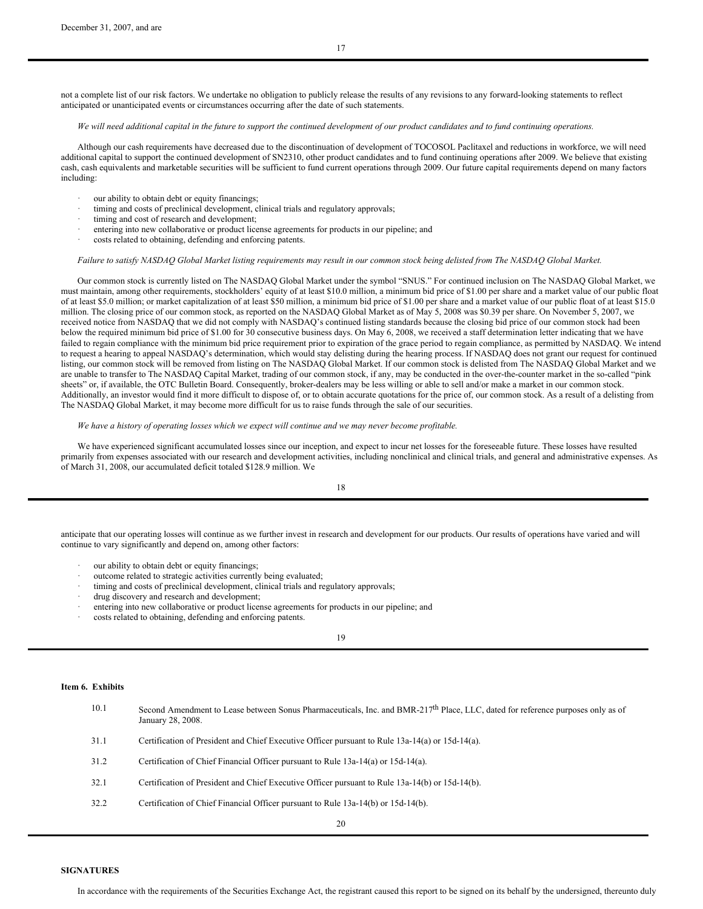not a complete list of our risk factors. We undertake no obligation to publicly release the results of any revisions to any forward-looking statements to reflect anticipated or unanticipated events or circumstances occurring after the date of such statements.

#### We will need additional capital in the future to support the continued development of our product candidates and to fund continuing operations.

Although our cash requirements have decreased due to the discontinuation of development of TOCOSOL Paclitaxel and reductions in workforce, we will need additional capital to support the continued development of SN2310, other product candidates and to fund continuing operations after 2009. We believe that existing cash, cash equivalents and marketable securities will be sufficient to fund current operations through 2009. Our future capital requirements depend on many factors including:

- our ability to obtain debt or equity financings;
- timing and costs of preclinical development, clinical trials and regulatory approvals;
- timing and cost of research and development;
- entering into new collaborative or product license agreements for products in our pipeline; and
- costs related to obtaining, defending and enforcing patents.

Failure to satisfy NASDAQ Global Market listing requirements may result in our common stock being delisted from The NASDAQ Global Market.

Our common stock is currently listed on The NASDAQ Global Market under the symbol "SNUS." For continued inclusion on The NASDAQ Global Market, we must maintain, among other requirements, stockholders' equity of at least \$10.0 million, a minimum bid price of \$1.00 per share and a market value of our public float of at least \$5.0 million; or market capitalization of at least \$50 million, a minimum bid price of \$1.00 per share and a market value of our public float of at least \$15.0 million. The closing price of our common stock, as reported on the NASDAQ Global Market as of May 5, 2008 was \$0.39 per share. On November 5, 2007, we received notice from NASDAQ that we did not comply with NASDAQ's continued listing standards because the closing bid price of our common stock had been below the required minimum bid price of \$1.00 for 30 consecutive business days. On May 6, 2008, we received a staff determination letter indicating that we have failed to regain compliance with the minimum bid price requirement prior to expiration of the grace period to regain compliance, as permitted by NASDAQ. We intend to request a hearing to appeal NASDAQ's determination, which would stay delisting during the hearing process. If NASDAQ does not grant our request for continued listing, our common stock will be removed from listing on The NASDAQ Global Market. If our common stock is delisted from The NASDAQ Global Market and we are unable to transfer to The NASDAQ Capital Market, trading of our common stock, if any, may be conducted in the over-the-counter market in the so-called "pink sheets" or, if available, the OTC Bulletin Board. Consequently, broker-dealers may be less willing or able to sell and/or make a market in our common stock. Additionally, an investor would find it more difficult to dispose of, or to obtain accurate quotations for the price of, our common stock. As a result of a delisting from The NASDAQ Global Market, it may become more difficult for us to raise funds through the sale of our securities.

We have a history of operating losses which we expect will continue and we may never become profitable.

We have experienced significant accumulated losses since our inception, and expect to incur net losses for the foreseeable future. These losses have resulted primarily from expenses associated with our research and development activities, including nonclinical and clinical trials, and general and administrative expenses. As of March 31, 2008, our accumulated deficit totaled \$128.9 million. We

18

anticipate that our operating losses will continue as we further invest in research and development for our products. Our results of operations have varied and will continue to vary significantly and depend on, among other factors:

- our ability to obtain debt or equity financings;
- outcome related to strategic activities currently being evaluated;
- timing and costs of preclinical development, clinical trials and regulatory approvals;
- drug discovery and research and development;
- · entering into new collaborative or product license agreements for products in our pipeline; and
- costs related to obtaining, defending and enforcing patents.

## **Item 6. Exhibits**

<span id="page-9-0"></span>10.1 Second Amendment to Lease between Sonus Pharmaceuticals, Inc. and BMR-217<sup>th</sup> Place, LLC, dated for reference purposes only as of January 28, 2008. 31.1 Certification of President and Chief Executive Officer pursuant to Rule 13a-14(a) or 15d-14(a). 31.2 Certification of Chief Financial Officer pursuant to Rule 13a-14(a) or 15d-14(a). 32.1 Certification of President and Chief Executive Officer pursuant to Rule 13a-14(b) or 15d-14(b). 32.2 Certification of Chief Financial Officer pursuant to Rule 13a-14(b) or 15d-14(b).

## **SIGNATURES**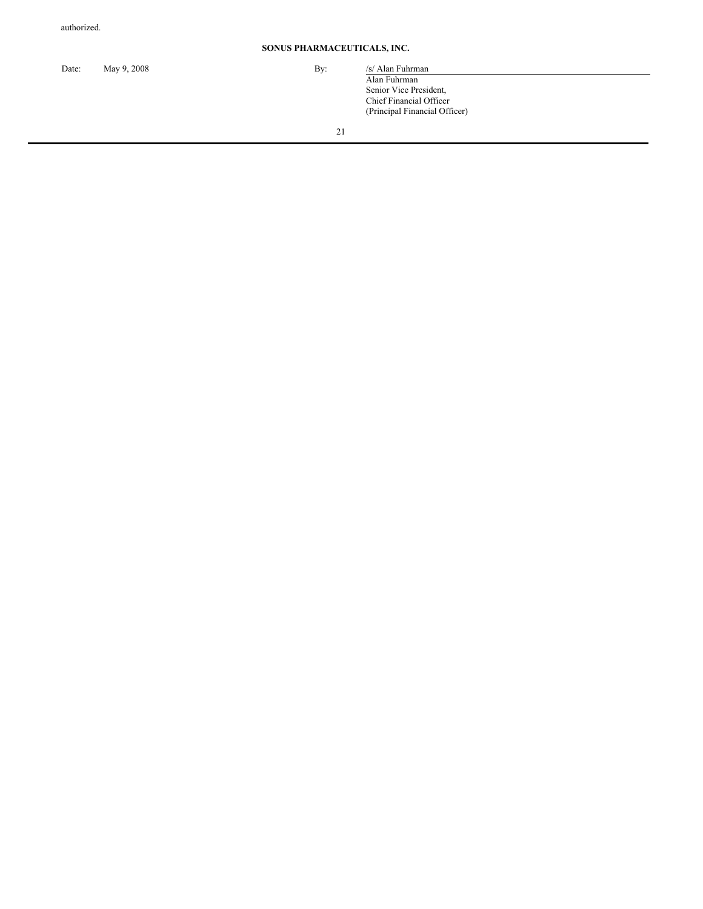## **SONUS PHARMACEUTICALS, INC.**

Date: May 9, 2008 **By:** *Islameter* May 9, 2008 **By:** *Islameter* May 9, 2008 Alan Fuhrman Senior Vice President, Chief Financial Officer

(Principal Financial Officer)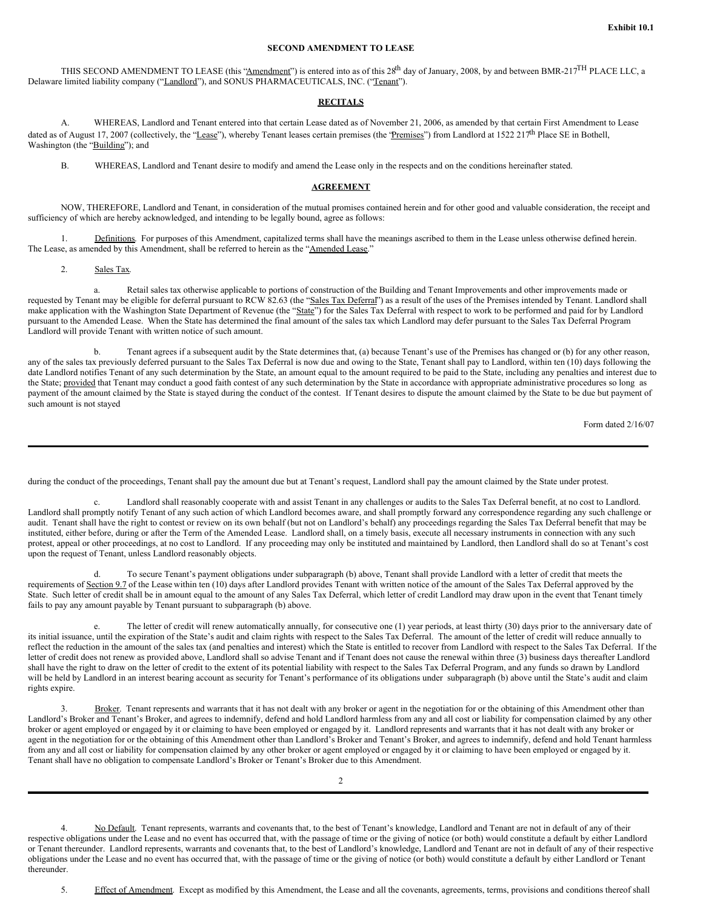## **SECOND AMENDMENT TO LEASE**

THIS SECOND AMENDMENT TO LEASE (this "<u>Amendment</u>") is entered into as of this 28<sup>th</sup> day of January, 2008, by and between BMR-217<sup>TH</sup> PLACE LLC, a Delaware limited liability company ("Landlord"), and SONUS PHARMACEUTICALS, INC. ("Tenant").

## **RECITALS**

A. WHEREAS, Landlord and Tenant entered into that certain Lease dated as of November 21, 2006, as amended by that certain First Amendment to Lease dated as of August 17, 2007 (collectively, the "Lease"), whereby Tenant leases certain premises (the 'Premises'') from Landlord at 1522 217<sup>th</sup> Place SE in Bothell, Washington (the "Building"); and

B. WHEREAS, Landlord and Tenant desire to modify and amend the Lease only in the respects and on the conditions hereinafter stated.

### **AGREEMENT**

NOW, THEREFORE, Landlord and Tenant, in consideration of the mutual promises contained herein and for other good and valuable consideration, the receipt and sufficiency of which are hereby acknowledged, and intending to be legally bound, agree as follows:

1. Definitions. For purposes of this Amendment, capitalized terms shall have the meanings ascribed to them in the Lease unless otherwise defined herein. The Lease, as amended by this Amendment, shall be referred to herein as the "Amended Lease."

2. Sales Tax.

a. Retail sales tax otherwise applicable to portions of construction of the Building and Tenant Improvements and other improvements made or requested by Tenant may be eligible for deferral pursuant to RCW 82.63 (the "Sales Tax Deferral") as a result of the uses of the Premises intended by Tenant. Landlord shall make application with the Washington State Department of Revenue (the "State") for the Sales Tax Deferral with respect to work to be performed and paid for by Landlord pursuant to the Amended Lease. When the State has determined the final amount of the sales tax which Landlord may defer pursuant to the Sales Tax Deferral Program Landlord will provide Tenant with written notice of such amount.

b. Tenant agrees if a subsequent audit by the State determines that, (a) because Tenant's use of the Premises has changed or (b) for any other reason, any of the sales tax previously deferred pursuant to the Sales Tax Deferral is now due and owing to the State, Tenant shall pay to Landlord, within ten (10) days following the date Landlord notifies Tenant of any such determination by the State, an amount equal to the amount required to be paid to the State, including any penalties and interest due to the State; provided that Tenant may conduct a good faith contest of any such determination by the State in accordance with appropriate administrative procedures so long as payment of the amount claimed by the State is stayed during the conduct of the contest. If Tenant desires to dispute the amount claimed by the State to be due but payment of such amount is not stayed

Form dated 2/16/07

during the conduct of the proceedings, Tenant shall pay the amount due but at Tenant's request, Landlord shall pay the amount claimed by the State under protest.

c. Landlord shall reasonably cooperate with and assist Tenant in any challenges or audits to the Sales Tax Deferral benefit, at no cost to Landlord. Landlord shall promptly notify Tenant of any such action of which Landlord becomes aware, and shall promptly forward any correspondence regarding any such challenge or audit. Tenant shall have the right to contest or review on its own behalf (but not on Landlord's behalf) any proceedings regarding the Sales Tax Deferral benefit that may be instituted, either before, during or after the Term of the Amended Lease. Landlord shall, on a timely basis, execute all necessary instruments in connection with any such protest, appeal or other proceedings, at no cost to Landlord. If any proceeding may only be instituted and maintained by Landlord, then Landlord shall do so at Tenant's cost upon the request of Tenant, unless Landlord reasonably objects.

d. To secure Tenant's payment obligations under subparagraph (b) above, Tenant shall provide Landlord with a letter of credit that meets the requirements of Section 9.7 of the Lease within ten (10) days after Landlord provides Tenant with written notice of the amount of the Sales Tax Deferral approved by the State. Such letter of credit shall be in amount equal to the amount of any Sales Tax Deferral, which letter of credit Landlord may draw upon in the event that Tenant timely fails to pay any amount payable by Tenant pursuant to subparagraph (b) above.

The letter of credit will renew automatically annually, for consecutive one (1) year periods, at least thirty (30) days prior to the anniversary date of its initial issuance, until the expiration of the State's audit and claim rights with respect to the Sales Tax Deferral. The amount of the letter of credit will reduce annually to reflect the reduction in the amount of the sales tax (and penalties and interest) which the State is entitled to recover from Landlord with respect to the Sales Tax Deferral. If the letter of credit does not renew as provided above, Landlord shall so advise Tenant and if Tenant does not cause the renewal within three (3) business days thereafter Landlord shall have the right to draw on the letter of credit to the extent of its potential liability with respect to the Sales Tax Deferral Program, and any funds so drawn by Landlord will be held by Landlord in an interest bearing account as security for Tenant's performance of its obligations under subparagraph (b) above until the State's audit and claim rights expire.

Broker. Tenant represents and warrants that it has not dealt with any broker or agent in the negotiation for or the obtaining of this Amendment other than Landlord's Broker and Tenant's Broker, and agrees to indemnify, defend and hold Landlord harmless from any and all cost or liability for compensation claimed by any other broker or agent employed or engaged by it or claiming to have been employed or engaged by it. Landlord represents and warrants that it has not dealt with any broker or agent in the negotiation for or the obtaining of this Amendment other than Landlord's Broker and Tenant's Broker, and agrees to indemnify, defend and hold Tenant harmless from any and all cost or liability for compensation claimed by any other broker or agent employed or engaged by it or claiming to have been employed or engaged by it. Tenant shall have no obligation to compensate Landlord's Broker or Tenant's Broker due to this Amendment.

 $\overline{2}$ 

No Default. Tenant represents, warrants and covenants that, to the best of Tenant's knowledge, Landlord and Tenant are not in default of any of their respective obligations under the Lease and no event has occurred that, with the passage of time or the giving of notice (or both) would constitute a default by either Landlord or Tenant thereunder. Landlord represents, warrants and covenants that, to the best of Landlord's knowledge, Landlord and Tenant are not in default of any of their respective obligations under the Lease and no event has occurred that, with the passage of time or the giving of notice (or both) would constitute a default by either Landlord or Tenant thereunder.

5. Effect of Amendment. Except as modified by this Amendment, the Lease and all the covenants, agreements, terms, provisions and conditions thereof shall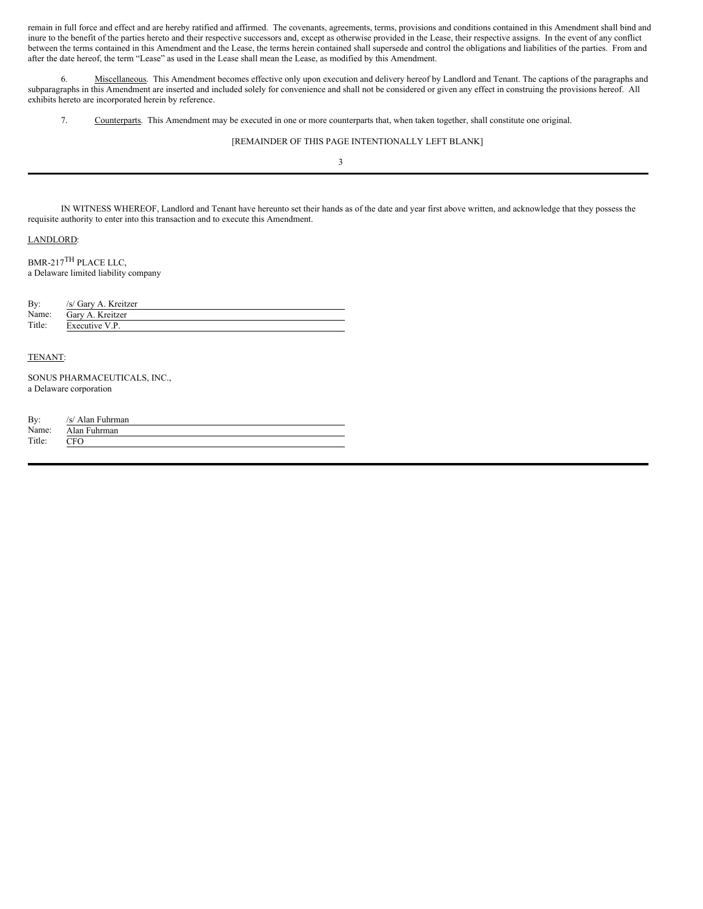remain in full force and effect and are hereby ratified and affirmed. The covenants, agreements, terms, provisions and conditions contained in this Amendment shall bind and inure to the benefit of the parties hereto and their respective successors and, except as otherwise provided in the Lease, their respective assigns. In the event of any conflict between the terms contained in this Amendment and the Lease, the terms herein contained shall supersede and control the obligations and liabilities of the parties. From and after the date hereof, the term "Lease" as used in the Lease shall mean the Lease, as modified by this Amendment.

6. Miscellaneous. This Amendment becomes effective only upon execution and delivery hereof by Landlord and Tenant. The captions of the paragraphs and subparagraphs in this Amendment are inserted and included solely for convenience and shall not be considered or given any effect in construing the provisions hereof. All exhibits hereto are incorporated herein by reference.

7. Counterparts. This Amendment may be executed in one or more counterparts that, when taken together, shall constitute one original.

## [REMAINDER OF THIS PAGE INTENTIONALLY LEFT BLANK]

3

IN WITNESS WHEREOF, Landlord and Tenant have hereunto set their hands as of the date and year first above written, and acknowledge that they possess the requisite authority to enter into this transaction and to execute this Amendment.

## LANDLORD:

BMR-217TH PLACE LLC, a Delaware limited liability company

| By:    | /s/ Gary A. Kreitzer |
|--------|----------------------|
| Name:  | Gary A. Kreitzer     |
| Title: | Executive V.P.       |

## TENANT:

SONUS PHARMACEUTICALS, INC., a Delaware corporation

| By:    | /s/ Alan Fuhrman |  |  |
|--------|------------------|--|--|
| Name:  | Alan Fuhrman     |  |  |
| Title: | CFO              |  |  |
|        |                  |  |  |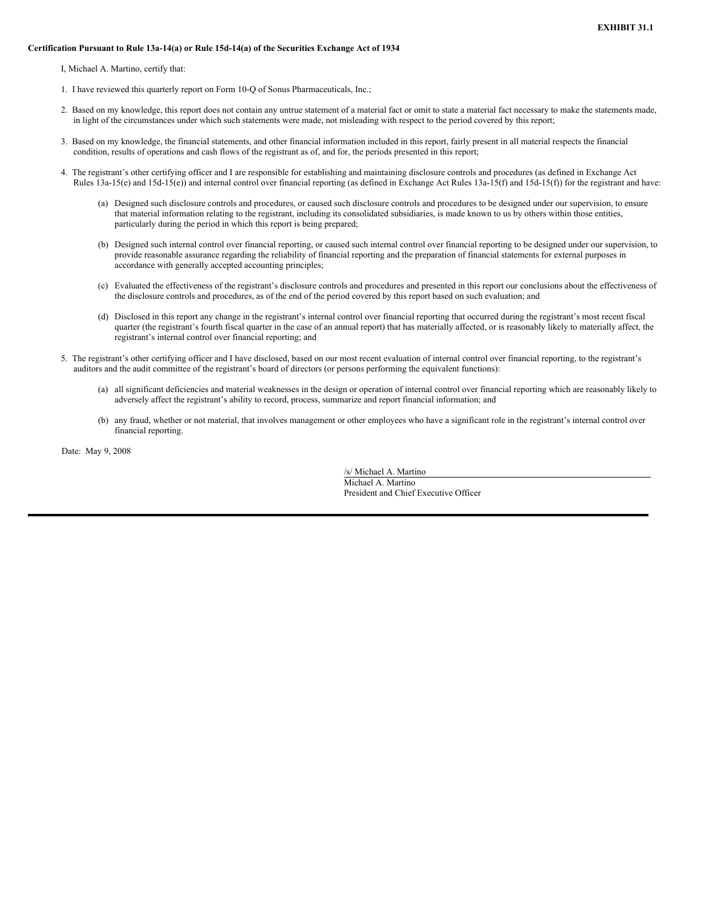## **Certification Pursuant to Rule 13a-14(a) or Rule 15d-14(a) of the Securities Exchange Act of 1934**

I, Michael A. Martino, certify that:

- 1. I have reviewed this quarterly report on Form 10-Q of Sonus Pharmaceuticals, Inc.;
- 2. Based on my knowledge, this report does not contain any untrue statement of a material fact or omit to state a material fact necessary to make the statements made, in light of the circumstances under which such statements were made, not misleading with respect to the period covered by this report;
- 3. Based on my knowledge, the financial statements, and other financial information included in this report, fairly present in all material respects the financial condition, results of operations and cash flows of the registrant as of, and for, the periods presented in this report;
- 4. The registrant's other certifying officer and I are responsible for establishing and maintaining disclosure controls and procedures (as defined in Exchange Act Rules 13a-15(e) and 15d-15(e)) and internal control over financial reporting (as defined in Exchange Act Rules 13a-15(f) and 15d-15(f)) for the registrant and have:
	- (a) Designed such disclosure controls and procedures, or caused such disclosure controls and procedures to be designed under our supervision, to ensure that material information relating to the registrant, including its consolidated subsidiaries, is made known to us by others within those entities, particularly during the period in which this report is being prepared;
	- (b) Designed such internal control over financial reporting, or caused such internal control over financial reporting to be designed under our supervision, to provide reasonable assurance regarding the reliability of financial reporting and the preparation of financial statements for external purposes in accordance with generally accepted accounting principles;
	- (c) Evaluated the effectiveness of the registrant's disclosure controls and procedures and presented in this report our conclusions about the effectiveness of the disclosure controls and procedures, as of the end of the period covered by this report based on such evaluation; and
	- (d) Disclosed in this report any change in the registrant's internal control over financial reporting that occurred during the registrant's most recent fiscal quarter (the registrant's fourth fiscal quarter in the case of an annual report) that has materially affected, or is reasonably likely to materially affect, the registrant's internal control over financial reporting; and
- 5. The registrant's other certifying officer and I have disclosed, based on our most recent evaluation of internal control over financial reporting, to the registrant's auditors and the audit committee of the registrant's board of directors (or persons performing the equivalent functions):
	- (a) all significant deficiencies and material weaknesses in the design or operation of internal control over financial reporting which are reasonably likely to adversely affect the registrant's ability to record, process, summarize and report financial information; and
	- (b) any fraud, whether or not material, that involves management or other employees who have a significant role in the registrant's internal control over financial reporting.

Date: May 9, 2008

/s/ Michael A. Martino Michael A. Martino President and Chief Executive Officer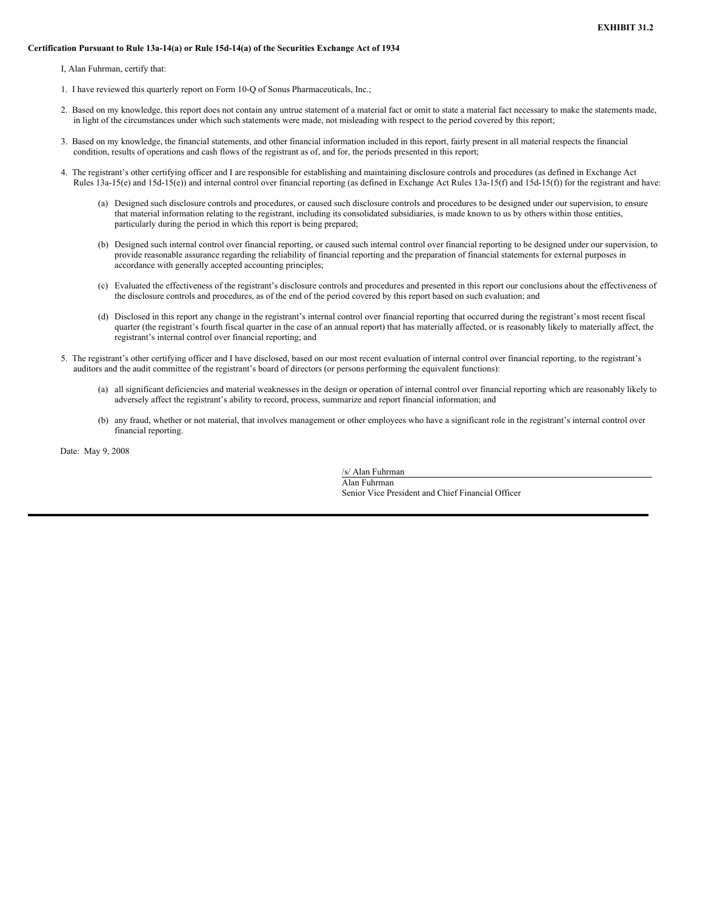## **Certification Pursuant to Rule 13a-14(a) or Rule 15d-14(a) of the Securities Exchange Act of 1934**

I, Alan Fuhrman, certify that:

- 1. I have reviewed this quarterly report on Form 10-Q of Sonus Pharmaceuticals, Inc.;
- 2. Based on my knowledge, this report does not contain any untrue statement of a material fact or omit to state a material fact necessary to make the statements made, in light of the circumstances under which such statements were made, not misleading with respect to the period covered by this report;
- 3. Based on my knowledge, the financial statements, and other financial information included in this report, fairly present in all material respects the financial condition, results of operations and cash flows of the registrant as of, and for, the periods presented in this report;
- 4. The registrant's other certifying officer and I are responsible for establishing and maintaining disclosure controls and procedures (as defined in Exchange Act Rules 13a-15(e) and 15d-15(e)) and internal control over financial reporting (as defined in Exchange Act Rules 13a-15(f) and 15d-15(f)) for the registrant and have:
	- (a) Designed such disclosure controls and procedures, or caused such disclosure controls and procedures to be designed under our supervision, to ensure that material information relating to the registrant, including its consolidated subsidiaries, is made known to us by others within those entities, particularly during the period in which this report is being prepared;
	- (b) Designed such internal control over financial reporting, or caused such internal control over financial reporting to be designed under our supervision, to provide reasonable assurance regarding the reliability of financial reporting and the preparation of financial statements for external purposes in accordance with generally accepted accounting principles;
	- (c) Evaluated the effectiveness of the registrant's disclosure controls and procedures and presented in this report our conclusions about the effectiveness of the disclosure controls and procedures, as of the end of the period covered by this report based on such evaluation; and
	- (d) Disclosed in this report any change in the registrant's internal control over financial reporting that occurred during the registrant's most recent fiscal quarter (the registrant's fourth fiscal quarter in the case of an annual report) that has materially affected, or is reasonably likely to materially affect, the registrant's internal control over financial reporting; and
- 5. The registrant's other certifying officer and I have disclosed, based on our most recent evaluation of internal control over financial reporting, to the registrant's auditors and the audit committee of the registrant's board of directors (or persons performing the equivalent functions):
	- (a) all significant deficiencies and material weaknesses in the design or operation of internal control over financial reporting which are reasonably likely to adversely affect the registrant's ability to record, process, summarize and report financial information; and
	- (b) any fraud, whether or not material, that involves management or other employees who have a significant role in the registrant's internal control over financial reporting.

Date: May 9, 2008

/s/ Alan Fuhrman Alan Fuhrman Senior Vice President and Chief Financial Officer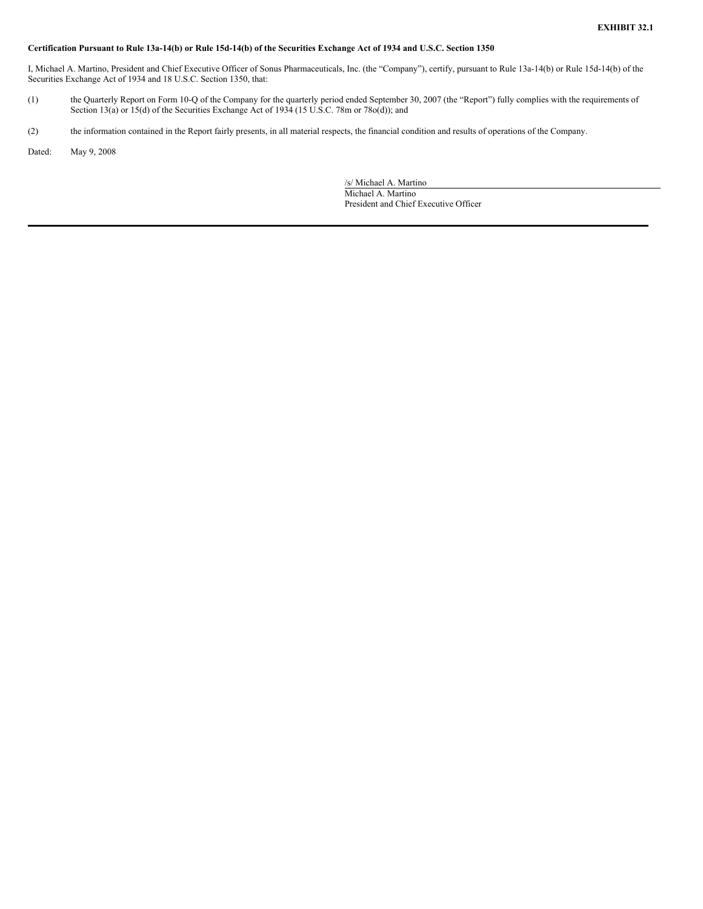## Certification Pursuant to Rule 13a-14(b) or Rule 15d-14(b) of the Securities Exchange Act of 1934 and U.S.C. Section 1350

I, Michael A. Martino, President and Chief Executive Officer of Sonus Pharmaceuticals, Inc. (the "Company"), certify, pursuant to Rule 13a-14(b) or Rule 15d-14(b) of the Securities Exchange Act of 1934 and 18 U.S.C. Section 1350, that:

- (1) the Quarterly Report on Form 10-Q of the Company for the quarterly period ended September 30, 2007 (the "Report") fully complies with the requirements of Section 13(a) or 15(d) of the Securities Exchange Act of 1934 (15 U.S.C. 78m or 78o(d)); and
- (2) the information contained in the Report fairly presents, in all material respects, the financial condition and results of operations of the Company.

Dated: May 9, 2008

/s/ Michael A. Martino Michael A. Martino President and Chief Executive Officer